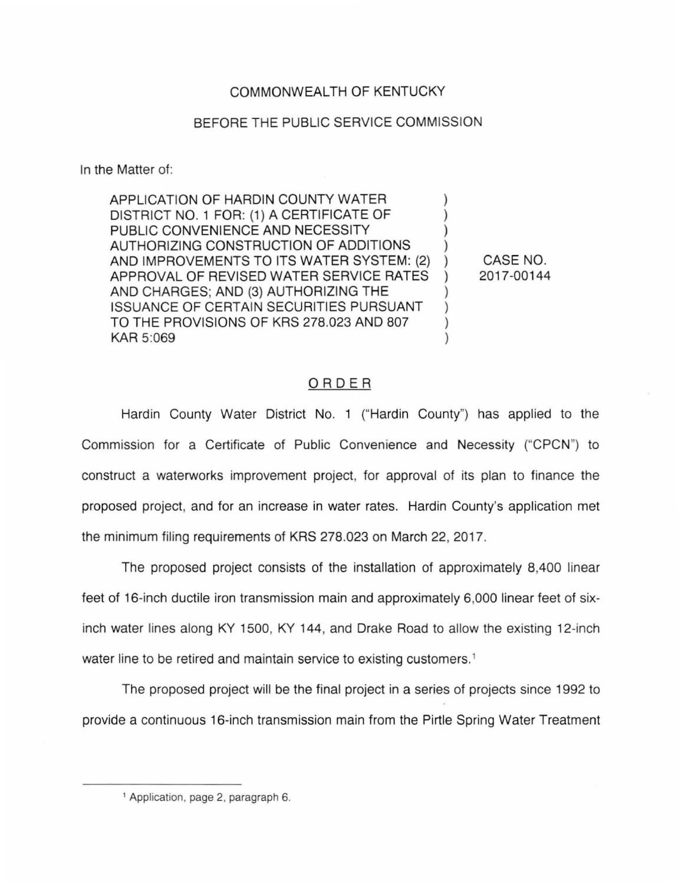## COMMONWEALTH OF KENTUCKY

## BEFORE THE PUBLIC SERVICE COMMISSION

In the Matter of:

APPLICATION OF HARDIN COUNTY WATER DISTRICT NO. 1 FOR: (1) A CERTIFICATE OF ) PUBLIC CONVENIENCE AND NECESSITY AUTHORIZING CONSTRUCTION OF ADDITIONS ) AND IMPROVEMENTS TO ITS WATER SYSTEM: (2) APPROVAL OF REVISED WATER SERVICE RATES AND CHARGES; AND (3) AUTHORIZING THE **ISSUANCE OF CERTAIN SECURITIES PURSUANT** TO THE PROVISIONS OF KRS 278,023 AND 807 KAR 5:069

CASE NO. 2017-00144

### ORDER

Hardin County Water District No. 1 ("Hardin County") has applied to the Commission for a Certificate of Public Convenience and Necessity ("CPCN") to construct a waterworks improvement project, for approval of its plan to finance the proposed project, and for an increase in water rates. Hardin County's application met the minimum filing requirements of KRS 278.023 on March 22, 2017.

The proposed project consists of the installation of approximately 8,400 linear feet of 16-inch ductile iron transmission main and approximately 6,000 linear feet of sixinch water lines along KY 1500, KY 144, and Drake Road to allow the existing 12-inch water line to be retired and maintain service to existing customers. 1

The proposed project will be the final project in a series of projects since 1992 to provide a continuous 16-inch transmission main from the Pirtle Spring Water Treatment

<sup>1</sup> Application, page 2, paragraph 6.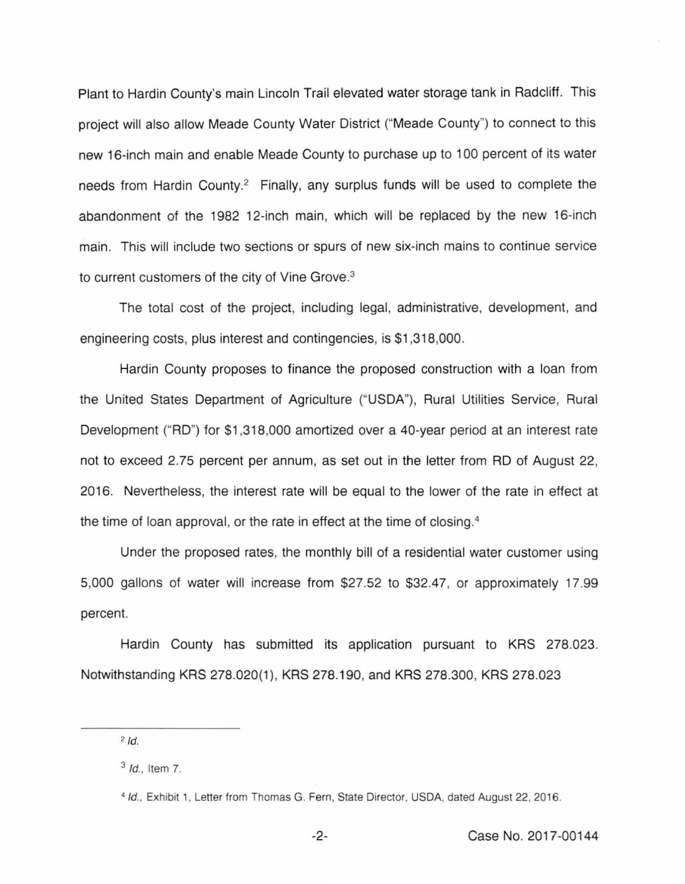Plant to Hardin County's main Lincoln Trail elevated water storage tank in Radcliff. This project will also allow Meade County Water District ("Meade County") to connect to this new 16-inch main and enable Meade County to purchase up to 1 00 percent of its water needs from Hardin County.<sup>2</sup> Finally, any surplus funds will be used to complete the abandonment of the 1982 12-inch main, which will be replaced by the new 16-inch main. This will include two sections or spurs of new six-inch mains to continue service to current customers of the city of Vine Grove. 3

The total cost of the project, including legal, administrative, development, and engineering costs, plus interest and contingencies, is \$1,318,000.

Hardin County proposes to finance the proposed construction with a loan from the United States Department of Agriculture ("USDA"), Rural Utilities Service, Rural Development ("RD") for \$1 ,318,000 amortized over a 40-year period at an interest rate not to exceed 2.75 percent per annum, as set out in the letter from RD of August 22, 2016. Nevertheless, the interest rate will be equal to the lower of the rate in effect at the time of loan approval, or the rate in effect at the time of closing. 4

Under the proposed rates, the monthly bill of a residential water customer using 5,000 gallons of water will increase from \$27.52 to \$32.47, or approximately 17.99 percent.

Hardin County has submitted its application pursuant to KRS 278.023. Notwithstanding KRS 278.020(1 ), KRS 278.190, and KRS 278.300, KRS 278.023

 $2$   $\overline{d}$ .

<sup>3</sup>*/d.,* Item 7.

<sup>4</sup>*/d.,* Exhibit 1, Letter from Thomas G. Fern, State Director, USDA, dated August 22, 2016.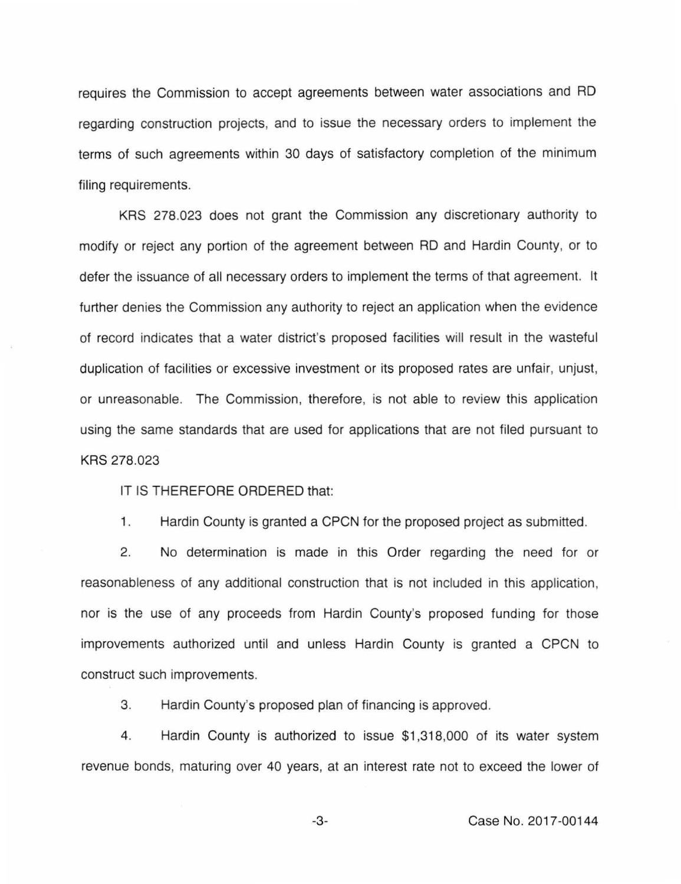requires the Commission to accept agreements between water associations and RD regarding construction projects, and to issue the necessary orders to implement the terms of such agreements within 30 days of satisfactory completion of the minimum filing requirements.

KRS 278.023 does not grant the Commission any discretionary authority to modify or reject any portion of the agreement between RD and Hardin County, or to defer the issuance of all necessary orders to implement the terms of that agreement. It further denies the Commission any authority to reject an application when the evidence of record indicates that a water district's proposed facilities will result in the wasteful duplication of facilities or excessive investment or its proposed rates are unfair, unjust, or unreasonable. The Commission, therefore, is not able to review this application using the same standards that are used for applications that are not filed pursuant to KRS 278.023

IT IS THEREFORE ORDERED that:

1. Hardin County is granted a CPCN for the proposed project as submitted.

2. No determination is made in this Order regarding the need for or reasonableness of any additional construction that is not included in this application, nor is the use of any proceeds from Hardin County's proposed funding for those improvements authorized until and unless Hardin County is granted a CPCN to construct such improvements.

3. Hardin County's proposed plan of financing is approved.

4. Hardin County is authorized to issue \$1 ,318,000 of its water system revenue bonds, maturing over 40 years, at an interest rate not to exceed the lower of

-3- Case No. 2017-00144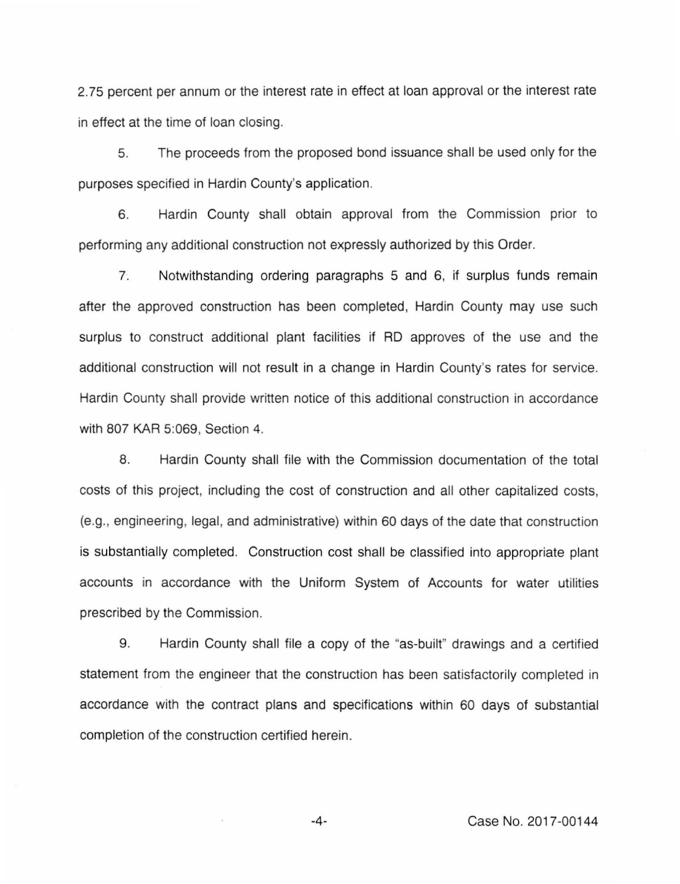2. 75 percent per annum or the interest rate in effect at loan approval or the interest rate in effect at the time of loan closing.

5. The proceeds from the proposed bond issuance shall be used only for the purposes specified in Hardin County's application.

6. Hardin County shall obtain approval from the Commission prior to performing any additional construction not expressly authorized by this Order.

7. Notwithstanding ordering paragraphs 5 and 6, if surplus funds remain after the approved construction has been completed, Hardin County may use such surplus to construct additional plant facilities if RD approves of the use and the additional construction will not result in a change in Hardin County's rates for service. Hardin County shall provide written notice of this additional construction in accordance with 807 KAR 5:069, Section 4.

8. Hardin County shall file with the Commission documentation of the total costs of this project, including the cost of construction and all other capitalized costs, (e.g., engineering, legal, and administrative) within 60 days of the date that construction is substantially completed. Construction cost shall be classified into appropriate plant accounts in accordance with the Uniform System of Accounts for water utilities prescribed by the Commission.

9. Hardin County shall file a copy of the "as-built" drawings and a certified statement from the engineer that the construction has been satisfactorily completed in accordance with the contract plans and specifications within 60 days of substantial completion of the construction certified herein.

-4- Case No. 2017-00144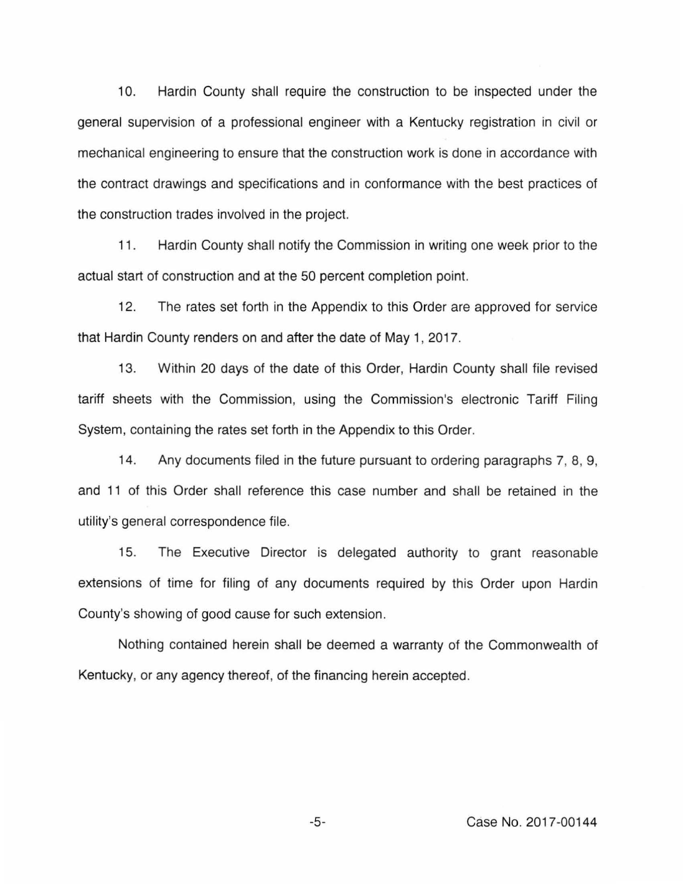10. Hardin County shall require the construction to be inspected under the general supervision of a professional engineer with a Kentucky registration in civil or mechanical engineering to ensure that the construction work is done in accordance with the contract drawings and specifications and in conformance with the best practices of the construction trades involved in the project.

11. Hardin County shall notify the Commission in writing one week prior to the actual start of construction and at the 50 percent completion point.

12. The rates set forth in the Appendix to this Order are approved for service that Hardin County renders on and after the date of May 1, 2017.

13. Within 20 days of the date of this Order, Hardin County shall file revised tariff sheets with the Commission, using the Commission's electronic Tariff Filing System, containing the rates set forth in the Appendix to this Order.

14. Any documents filed in the future pursuant to ordering paragraphs 7, 8, 9, and 11 of this Order shall reference this case number and shall be retained in the utility's general correspondence file.

15. The Executive Director is delegated authority to grant reasonable extensions of time for filing of any documents required by this Order upon Hardin County's showing of good cause for such extension.

Nothing contained herein shall be deemed a warranty of the Commonwealth of Kentucky, or any agency thereof, of the financing herein accepted.

-5- Case No. 2017-00144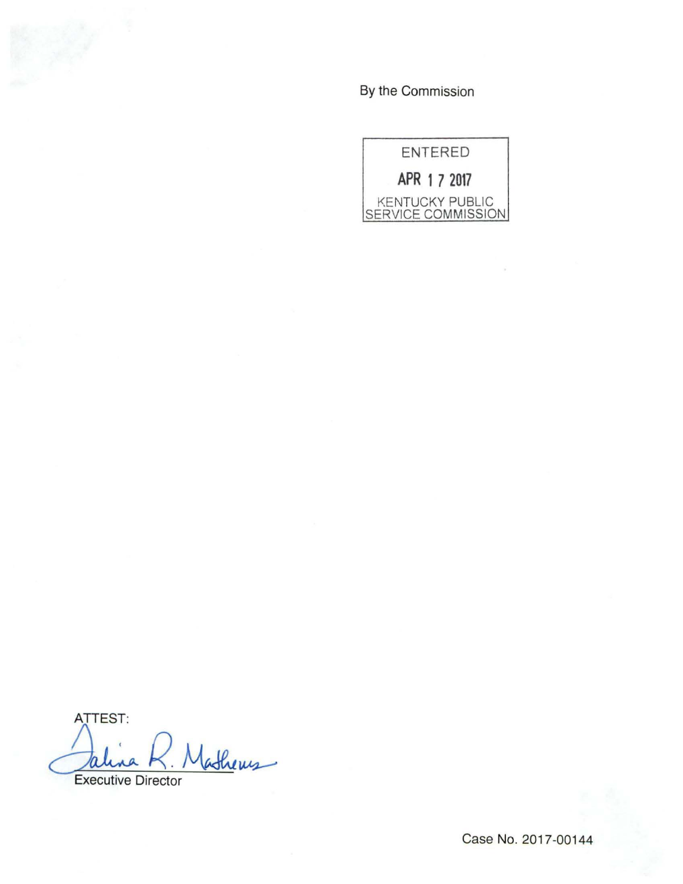By the Commission



ATTEST: Jalina K. Mathews

Case No. 2017-00144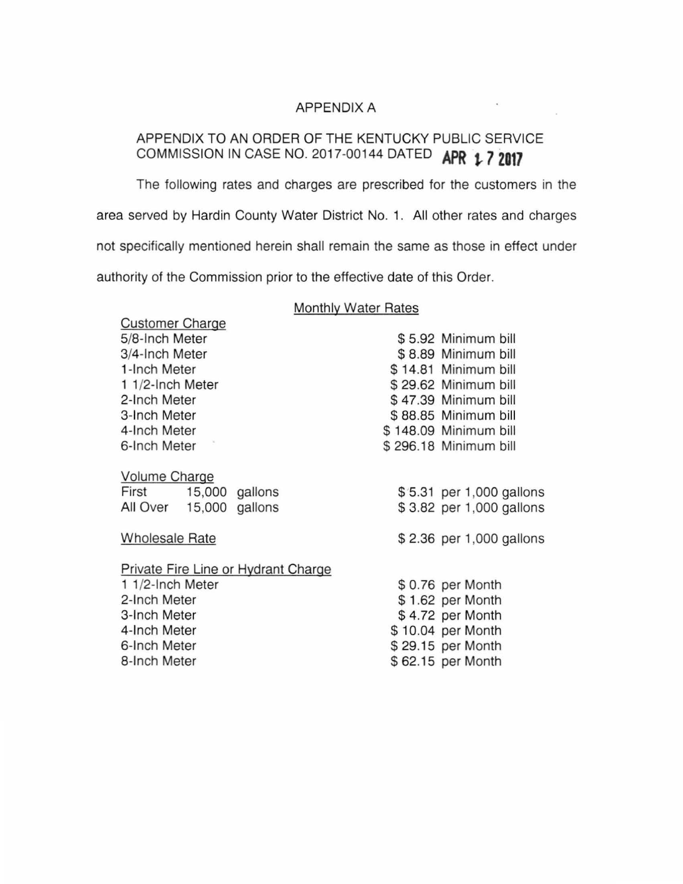### APPENDIX A

# APPENDIX TO AN ORDER OF THE KENTUCKY PUBLIC SERVICE COMMISSION IN CASE NO. 2017-00144 DATED APR 1.7 2017

The following rates and charges are prescribed for the customers in the area served by Hardin County Water District No. 1. All other rates and charges not specifically mentioned herein shall remain the same as those in effect under authority of the Commission prior to the effective date of this Order.

Customer Charge

#### Monthly Water Rates

| 5/8-Inch Meter                      |  | \$5.92 Minimum bill      |
|-------------------------------------|--|--------------------------|
| 3/4-Inch Meter                      |  | \$8.89 Minimum bill      |
| 1-Inch Meter                        |  | \$14.81 Minimum bill     |
| 1 1/2-Inch Meter                    |  | \$29.62 Minimum bill     |
| 2-Inch Meter                        |  | \$47.39 Minimum bill     |
| 3-Inch Meter                        |  | \$88.85 Minimum bill     |
| 4-Inch Meter                        |  | \$148.09 Minimum bill    |
| 6-Inch Meter                        |  | \$296.18 Minimum bill    |
| <b>Volume Charge</b>                |  |                          |
| First 15,000 gallons                |  | \$5.31 per 1,000 gallons |
| All Over 15,000 gallons             |  | \$3.82 per 1,000 gallons |
| <b>Wholesale Rate</b>               |  | \$2.36 per 1,000 gallons |
| Private Fire Line or Hydrant Charge |  |                          |
| 1 1/2-Inch Meter                    |  | \$0.76 per Month         |
| 2-Inch Meter                        |  | \$1.62 per Month         |
| 3-Inch Meter                        |  | \$4.72 per Month         |
| 4-Inch Meter                        |  | \$10.04 per Month        |
| 6-Inch Meter                        |  | \$29.15 per Month        |
| 8-Inch Meter                        |  | \$62.15 per Month        |